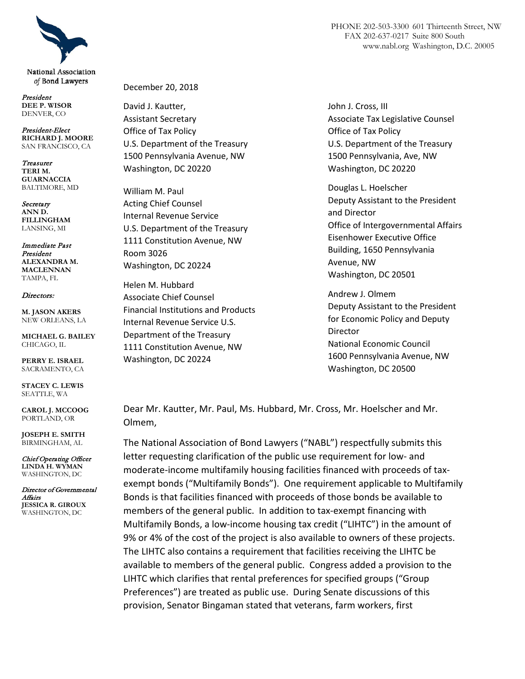

National Association of Bond Lawyers

President **DEE P. WISOR** DENVER, CO

President-Elect **RICHARD J. MOORE** SAN FRANCISCO, CA

Treasurer **TERI M. GUARNACCIA** BALTIMORE, MD

Secretary **ANN D. FILLINGHAM** LANSING, MI

Immediate Past President **ALEXANDRA M. MACLENNAN** TAMPA, FL

#### Directors:

**M. JASON AKERS** NEW ORLEANS, LA

**MICHAEL G. BAILEY** CHICAGO, IL

**PERRY E. ISRAEL** SACRAMENTO, CA

**STACEY C. LEWIS** SEATTLE, WA

**CAROL J. MCCOOG** PORTLAND, OR

**JOSEPH E. SMITH** BIRMINGHAM, AL

Chief Operating Officer **LINDA H. WYMAN** WASHINGTON, DC

Director of Governmental Affairs **JESSICA R. GIROUX** WASHINGTON, DC

December 20, 2018

David J. Kautter, Assistant Secretary Office of Tax Policy U.S. Department of the Treasury 1500 Pennsylvania Avenue, NW Washington, DC 20220

William M. Paul Acting Chief Counsel Internal Revenue Service U.S. Department of the Treasury 1111 Constitution Avenue, NW Room 3026 Washington, DC 20224

Helen M. Hubbard Associate Chief Counsel Financial Institutions and Products Internal Revenue Service U.S. Department of the Treasury 1111 Constitution Avenue, NW Washington, DC 20224

John J. Cross, III Associate Tax Legislative Counsel Office of Tax Policy U.S. Department of the Treasury 1500 Pennsylvania, Ave, NW Washington, DC 20220

Douglas L. Hoelscher Deputy Assistant to the President and Director Office of Intergovernmental Affairs Eisenhower Executive Office Building, 1650 Pennsylvania Avenue, NW Washington, DC 20501

Andrew J. Olmem Deputy Assistant to the President for Economic Policy and Deputy Director National Economic Council 1600 Pennsylvania Avenue, NW Washington, DC 20500

Dear Mr. Kautter, Mr. Paul, Ms. Hubbard, Mr. Cross, Mr. Hoelscher and Mr. Olmem,

The National Association of Bond Lawyers ("NABL") respectfully submits this letter requesting clarification of the public use requirement for low- and moderate-income multifamily housing facilities financed with proceeds of taxexempt bonds ("Multifamily Bonds"). One requirement applicable to Multifamily Bonds is that facilities financed with proceeds of those bonds be available to members of the general public. In addition to tax-exempt financing with Multifamily Bonds, a low-income housing tax credit ("LIHTC") in the amount of 9% or 4% of the cost of the project is also available to owners of these projects. The LIHTC also contains a requirement that facilities receiving the LIHTC be available to members of the general public. Congress added a provision to the LIHTC which clarifies that rental preferences for specified groups ("Group Preferences") are treated as public use. During Senate discussions of this provision, Senator Bingaman stated that veterans, farm workers, first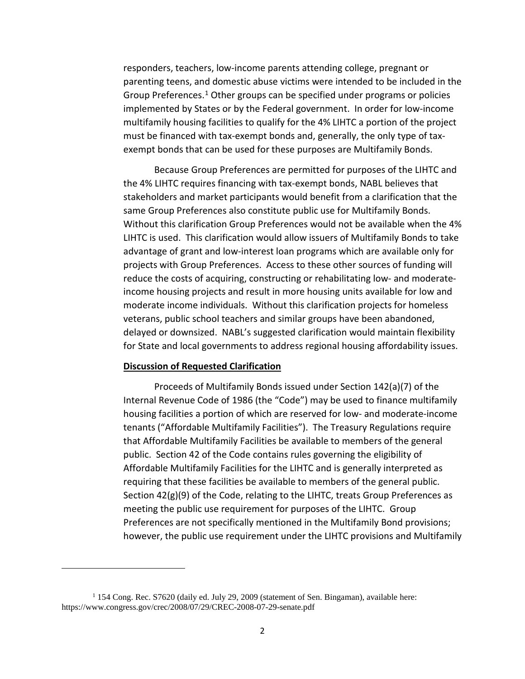responders, teachers, low-income parents attending college, pregnant or parenting teens, and domestic abuse victims were intended to be included in the Group Preferences.<sup>[1](#page-1-0)</sup> Other groups can be specified under programs or policies implemented by States or by the Federal government. In order for low-income multifamily housing facilities to qualify for the 4% LIHTC a portion of the project must be financed with tax-exempt bonds and, generally, the only type of taxexempt bonds that can be used for these purposes are Multifamily Bonds.

Because Group Preferences are permitted for purposes of the LIHTC and the 4% LIHTC requires financing with tax-exempt bonds, NABL believes that stakeholders and market participants would benefit from a clarification that the same Group Preferences also constitute public use for Multifamily Bonds. Without this clarification Group Preferences would not be available when the 4% LIHTC is used. This clarification would allow issuers of Multifamily Bonds to take advantage of grant and low-interest loan programs which are available only for projects with Group Preferences. Access to these other sources of funding will reduce the costs of acquiring, constructing or rehabilitating low- and moderateincome housing projects and result in more housing units available for low and moderate income individuals. Without this clarification projects for homeless veterans, public school teachers and similar groups have been abandoned, delayed or downsized. NABL's suggested clarification would maintain flexibility for State and local governments to address regional housing affordability issues.

#### **Discussion of Requested Clarification**

 $\overline{\phantom{a}}$ 

Proceeds of Multifamily Bonds issued under Section 142(a)(7) of the Internal Revenue Code of 1986 (the "Code") may be used to finance multifamily housing facilities a portion of which are reserved for low- and moderate-income tenants ("Affordable Multifamily Facilities"). The Treasury Regulations require that Affordable Multifamily Facilities be available to members of the general public. Section 42 of the Code contains rules governing the eligibility of Affordable Multifamily Facilities for the LIHTC and is generally interpreted as requiring that these facilities be available to members of the general public. Section 42(g)(9) of the Code, relating to the LIHTC, treats Group Preferences as meeting the public use requirement for purposes of the LIHTC. Group Preferences are not specifically mentioned in the Multifamily Bond provisions; however, the public use requirement under the LIHTC provisions and Multifamily

<span id="page-1-0"></span> $1$  154 Cong. Rec. S7620 (daily ed. July 29, 2009 (statement of Sen. Bingaman), available here: https://www.congress.gov/crec/2008/07/29/CREC-2008-07-29-senate.pdf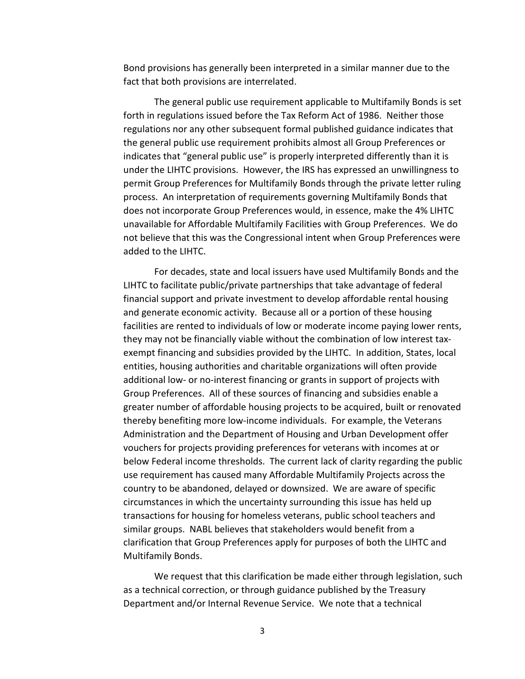Bond provisions has generally been interpreted in a similar manner due to the fact that both provisions are interrelated.

The general public use requirement applicable to Multifamily Bonds is set forth in regulations issued before the Tax Reform Act of 1986. Neither those regulations nor any other subsequent formal published guidance indicates that the general public use requirement prohibits almost all Group Preferences or indicates that "general public use" is properly interpreted differently than it is under the LIHTC provisions. However, the IRS has expressed an unwillingness to permit Group Preferences for Multifamily Bonds through the private letter ruling process. An interpretation of requirements governing Multifamily Bonds that does not incorporate Group Preferences would, in essence, make the 4% LIHTC unavailable for Affordable Multifamily Facilities with Group Preferences. We do not believe that this was the Congressional intent when Group Preferences were added to the LIHTC.

For decades, state and local issuers have used Multifamily Bonds and the LIHTC to facilitate public/private partnerships that take advantage of federal financial support and private investment to develop affordable rental housing and generate economic activity. Because all or a portion of these housing facilities are rented to individuals of low or moderate income paying lower rents, they may not be financially viable without the combination of low interest taxexempt financing and subsidies provided by the LIHTC. In addition, States, local entities, housing authorities and charitable organizations will often provide additional low- or no-interest financing or grants in support of projects with Group Preferences. All of these sources of financing and subsidies enable a greater number of affordable housing projects to be acquired, built or renovated thereby benefiting more low-income individuals. For example, the Veterans Administration and the Department of Housing and Urban Development offer vouchers for projects providing preferences for veterans with incomes at or below Federal income thresholds. The current lack of clarity regarding the public use requirement has caused many Affordable Multifamily Projects across the country to be abandoned, delayed or downsized. We are aware of specific circumstances in which the uncertainty surrounding this issue has held up transactions for housing for homeless veterans, public school teachers and similar groups. NABL believes that stakeholders would benefit from a clarification that Group Preferences apply for purposes of both the LIHTC and Multifamily Bonds.

We request that this clarification be made either through legislation, such as a technical correction, or through guidance published by the Treasury Department and/or Internal Revenue Service. We note that a technical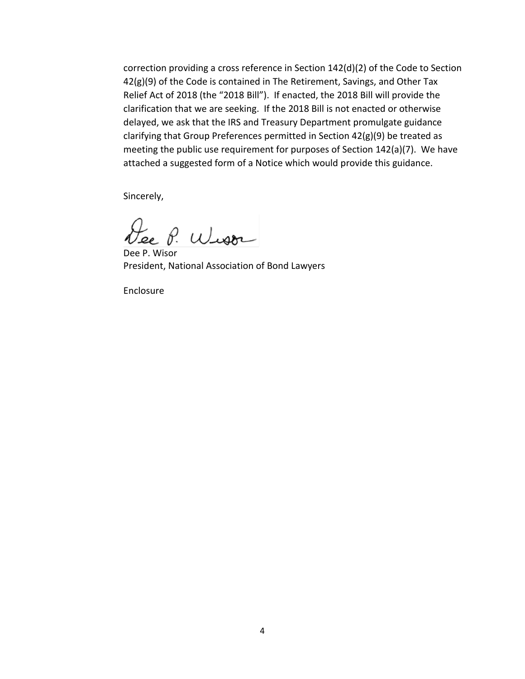correction providing a cross reference in Section 142(d)(2) of the Code to Section 42(g)(9) of the Code is contained in The Retirement, Savings, and Other Tax Relief Act of 2018 (the "2018 Bill"). If enacted, the 2018 Bill will provide the clarification that we are seeking. If the 2018 Bill is not enacted or otherwise delayed, we ask that the IRS and Treasury Department promulgate guidance clarifying that Group Preferences permitted in Section 42(g)(9) be treated as meeting the public use requirement for purposes of Section 142(a)(7). We have attached a suggested form of a Notice which would provide this guidance.

Sincerely,

Lee P. Wison

Dee P. Wisor President, National Association of Bond Lawyers

Enclosure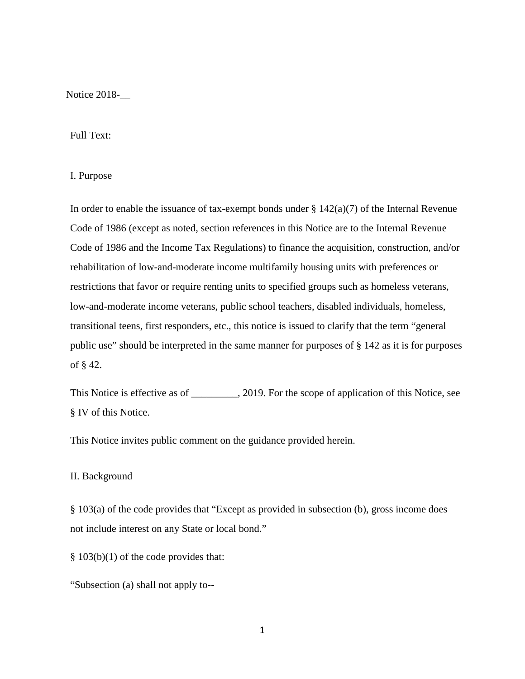Notice 2018-\_\_

## Full Text:

# I. Purpose

In order to enable the issuance of tax-exempt bonds under  $\S 142(a)(7)$  of the Internal Revenue Code of 1986 (except as noted, section references in this Notice are to the Internal Revenue Code of 1986 and the Income Tax Regulations) to finance the acquisition, construction, and/or rehabilitation of low-and-moderate income multifamily housing units with preferences or restrictions that favor or require renting units to specified groups such as homeless veterans, low-and-moderate income veterans, public school teachers, disabled individuals, homeless, transitional teens, first responders, etc., this notice is issued to clarify that the term "general public use" should be interpreted in the same manner for purposes of § 142 as it is for purposes of § 42.

This Notice is effective as of \_\_\_\_\_\_\_\_, 2019. For the scope of application of this Notice, see § IV of this Notice.

This Notice invites public comment on the guidance provided herein.

#### II. Background

§ 103(a) of the code provides that "Except as provided in subsection (b), gross income does not include interest on any State or local bond."

§ 103(b)(1) of the code provides that:

"Subsection (a) shall not apply to--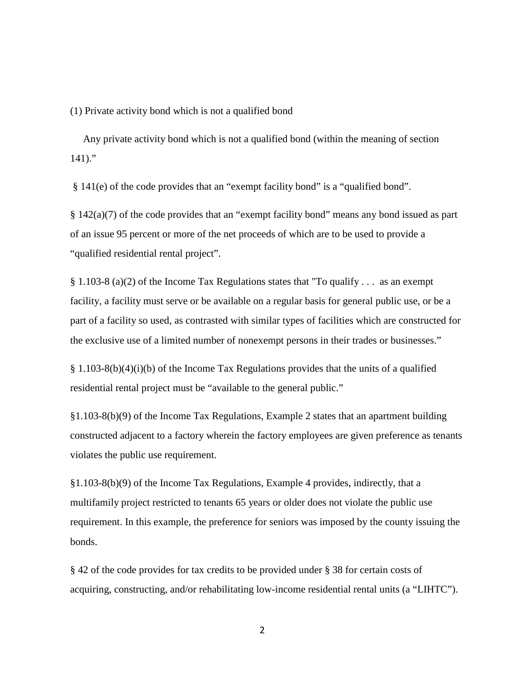(1) Private activity bond which is not a qualified bond

 Any private activity bond which is not a qualified bond (within the meaning of section  $141$ )."

§ 141(e) of the code provides that an "exempt facility bond" is a "qualified bond".

§ 142(a)(7) of the code provides that an "exempt facility bond" means any bond issued as part of an issue 95 percent or more of the net proceeds of which are to be used to provide a "qualified residential rental project".

§ 1.103-8 (a)(2) of the Income Tax Regulations states that "To qualify . . . as an exempt facility, a facility must serve or be available on a regular basis for general public use, or be a part of a facility so used, as contrasted with similar types of facilities which are constructed for the exclusive use of a limited number of nonexempt persons in their trades or businesses."

 $§$  1.103-8(b)(4)(i)(b) of the Income Tax Regulations provides that the units of a qualified residential rental project must be "available to the general public."

§1.103-8(b)(9) of the Income Tax Regulations, Example 2 states that an apartment building constructed adjacent to a factory wherein the factory employees are given preference as tenants violates the public use requirement.

§1.103-8(b)(9) of the Income Tax Regulations, Example 4 provides, indirectly, that a multifamily project restricted to tenants 65 years or older does not violate the public use requirement. In this example, the preference for seniors was imposed by the county issuing the bonds.

§ 42 of the code provides for tax credits to be provided under § 38 for certain costs of acquiring, constructing, and/or rehabilitating low-income residential rental units (a "LIHTC").

2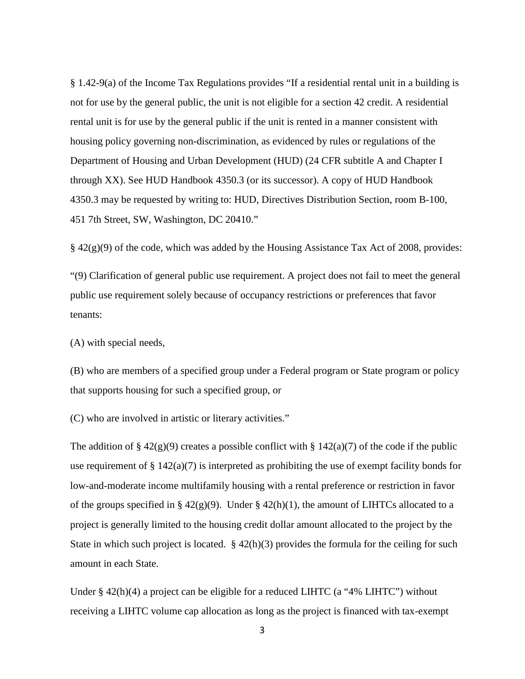§ 1.42-9(a) of the Income Tax Regulations provides "If a residential rental unit in a building is not for use by the general public, the unit is not eligible for a section 42 credit. A residential rental unit is for use by the general public if the unit is rented in a manner consistent with housing policy governing non-discrimination, as evidenced by rules or regulations of the Department of Housing and Urban Development (HUD) (24 CFR subtitle A and Chapter I through XX). See HUD Handbook 4350.3 (or its successor). A copy of HUD Handbook 4350.3 may be requested by writing to: HUD, Directives Distribution Section, room B-100, 451 7th Street, SW, Washington, DC 20410."

 $§$  42(g)(9) of the code, which was added by the Housing Assistance Tax Act of 2008, provides:

"(9) Clarification of general public use requirement. A project does not fail to meet the general public use requirement solely because of occupancy restrictions or preferences that favor tenants:

(A) with special needs,

(B) who are members of a specified group under a Federal program or State program or policy that supports housing for such a specified group, or

(C) who are involved in artistic or literary activities."

The addition of  $\S 42(g)(9)$  creates a possible conflict with  $\S 142(a)(7)$  of the code if the public use requirement of  $\S 142(a)(7)$  is interpreted as prohibiting the use of exempt facility bonds for low-and-moderate income multifamily housing with a rental preference or restriction in favor of the groups specified in § 42(g)(9). Under § 42(h)(1), the amount of LIHTCs allocated to a project is generally limited to the housing credit dollar amount allocated to the project by the State in which such project is located.  $\S$  42(h)(3) provides the formula for the ceiling for such amount in each State.

Under § 42(h)(4) a project can be eligible for a reduced LIHTC (a "4% LIHTC") without receiving a LIHTC volume cap allocation as long as the project is financed with tax-exempt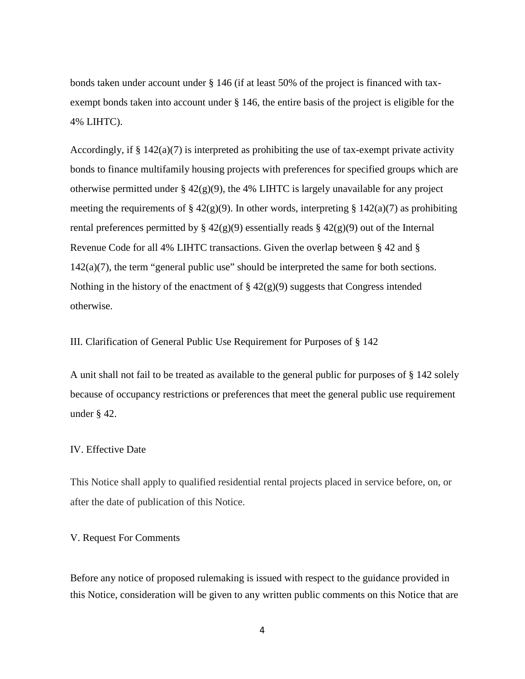bonds taken under account under § 146 (if at least 50% of the project is financed with taxexempt bonds taken into account under § 146, the entire basis of the project is eligible for the 4% LIHTC).

Accordingly, if  $\S 142(a)(7)$  is interpreted as prohibiting the use of tax-exempt private activity bonds to finance multifamily housing projects with preferences for specified groups which are otherwise permitted under  $\S$  42(g)(9), the 4% LIHTC is largely unavailable for any project meeting the requirements of § 42(g)(9). In other words, interpreting § 142(a)(7) as prohibiting rental preferences permitted by §  $42(g)(9)$  essentially reads §  $42(g)(9)$  out of the Internal Revenue Code for all 4% LIHTC transactions. Given the overlap between § 42 and §  $142(a)(7)$ , the term "general public use" should be interpreted the same for both sections. Nothing in the history of the enactment of  $\S 42(g)(9)$  suggests that Congress intended otherwise.

# III. Clarification of General Public Use Requirement for Purposes of § 142

A unit shall not fail to be treated as available to the general public for purposes of § 142 solely because of occupancy restrictions or preferences that meet the general public use requirement under § 42.

# IV. Effective Date

This Notice shall apply to qualified residential rental projects placed in service before, on, or after the date of publication of this Notice.

## V. Request For Comments

Before any notice of proposed rulemaking is issued with respect to the guidance provided in this Notice, consideration will be given to any written public comments on this Notice that are